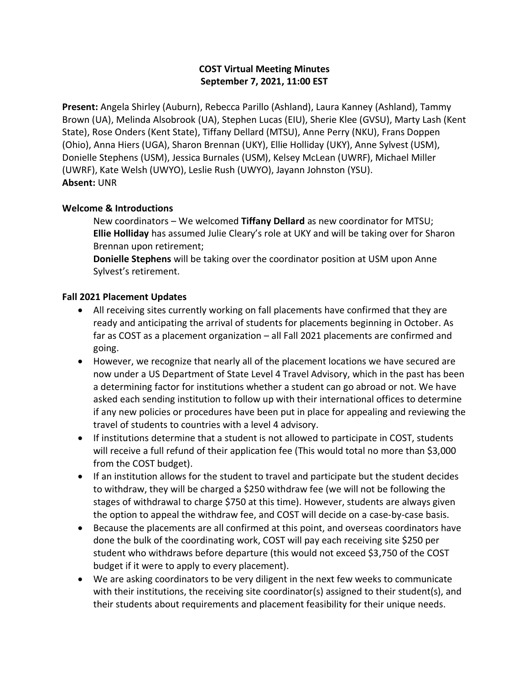## **COST Virtual Meeting Minutes September 7, 2021, 11:00 EST**

**Present:** Angela Shirley (Auburn), Rebecca Parillo (Ashland), Laura Kanney (Ashland), Tammy Brown (UA), Melinda Alsobrook (UA), Stephen Lucas (EIU), Sherie Klee (GVSU), Marty Lash (Kent State), Rose Onders (Kent State), Tiffany Dellard (MTSU), Anne Perry (NKU), Frans Doppen (Ohio), Anna Hiers (UGA), Sharon Brennan (UKY), Ellie Holliday (UKY), Anne Sylvest (USM), Donielle Stephens (USM), Jessica Burnales (USM), Kelsey McLean (UWRF), Michael Miller (UWRF), Kate Welsh (UWYO), Leslie Rush (UWYO), Jayann Johnston (YSU). **Absent:** UNR

## **Welcome & Introductions**

New coordinators – We welcomed **Tiffany Dellard** as new coordinator for MTSU; **Ellie Holliday** has assumed Julie Cleary's role at UKY and will be taking over for Sharon Brennan upon retirement;

**Donielle Stephens** will be taking over the coordinator position at USM upon Anne Sylvest's retirement.

### **Fall 2021 Placement Updates**

- All receiving sites currently working on fall placements have confirmed that they are ready and anticipating the arrival of students for placements beginning in October. As far as COST as a placement organization – all Fall 2021 placements are confirmed and going.
- However, we recognize that nearly all of the placement locations we have secured are now under a US Department of State Level 4 Travel Advisory, which in the past has been a determining factor for institutions whether a student can go abroad or not. We have asked each sending institution to follow up with their international offices to determine if any new policies or procedures have been put in place for appealing and reviewing the travel of students to countries with a level 4 advisory.
- If institutions determine that a student is not allowed to participate in COST, students will receive a full refund of their application fee (This would total no more than \$3,000 from the COST budget).
- If an institution allows for the student to travel and participate but the student decides to withdraw, they will be charged a \$250 withdraw fee (we will not be following the stages of withdrawal to charge \$750 at this time). However, students are always given the option to appeal the withdraw fee, and COST will decide on a case-by-case basis.
- Because the placements are all confirmed at this point, and overseas coordinators have done the bulk of the coordinating work, COST will pay each receiving site \$250 per student who withdraws before departure (this would not exceed \$3,750 of the COST budget if it were to apply to every placement).
- We are asking coordinators to be very diligent in the next few weeks to communicate with their institutions, the receiving site coordinator(s) assigned to their student(s), and their students about requirements and placement feasibility for their unique needs.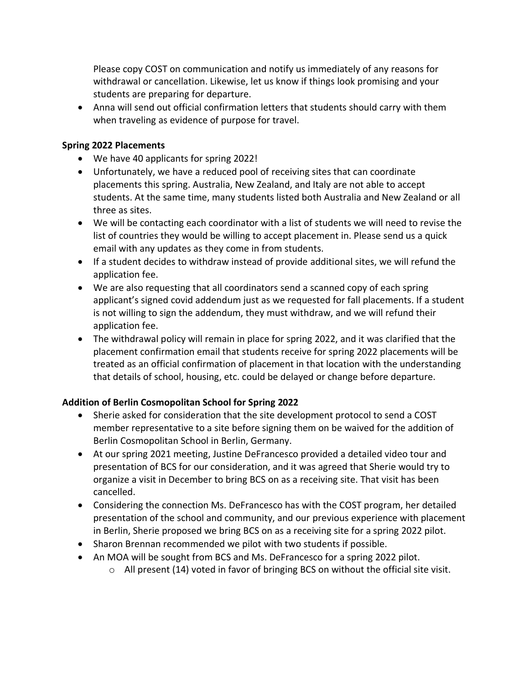Please copy COST on communication and notify us immediately of any reasons for withdrawal or cancellation. Likewise, let us know if things look promising and your students are preparing for departure.

• Anna will send out official confirmation letters that students should carry with them when traveling as evidence of purpose for travel.

## **Spring 2022 Placements**

- We have 40 applicants for spring 2022!
- Unfortunately, we have a reduced pool of receiving sites that can coordinate placements this spring. Australia, New Zealand, and Italy are not able to accept students. At the same time, many students listed both Australia and New Zealand or all three as sites.
- We will be contacting each coordinator with a list of students we will need to revise the list of countries they would be willing to accept placement in. Please send us a quick email with any updates as they come in from students.
- If a student decides to withdraw instead of provide additional sites, we will refund the application fee.
- We are also requesting that all coordinators send a scanned copy of each spring applicant's signed covid addendum just as we requested for fall placements. If a student is not willing to sign the addendum, they must withdraw, and we will refund their application fee.
- The withdrawal policy will remain in place for spring 2022, and it was clarified that the placement confirmation email that students receive for spring 2022 placements will be treated as an official confirmation of placement in that location with the understanding that details of school, housing, etc. could be delayed or change before departure.

# **Addition of Berlin Cosmopolitan School for Spring 2022**

- Sherie asked for consideration that the site development protocol to send a COST member representative to a site before signing them on be waived for the addition of Berlin Cosmopolitan School in Berlin, Germany.
- At our spring 2021 meeting, Justine DeFrancesco provided a detailed video tour and presentation of BCS for our consideration, and it was agreed that Sherie would try to organize a visit in December to bring BCS on as a receiving site. That visit has been cancelled.
- Considering the connection Ms. DeFrancesco has with the COST program, her detailed presentation of the school and community, and our previous experience with placement in Berlin, Sherie proposed we bring BCS on as a receiving site for a spring 2022 pilot.
- Sharon Brennan recommended we pilot with two students if possible.
- An MOA will be sought from BCS and Ms. DeFrancesco for a spring 2022 pilot.
	- $\circ$  All present (14) voted in favor of bringing BCS on without the official site visit.